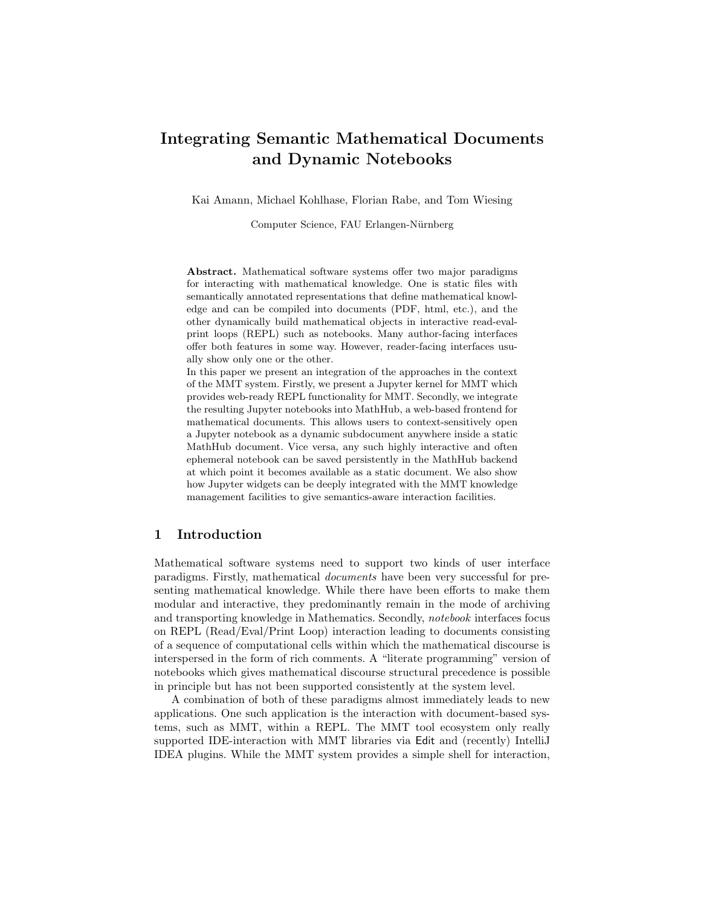# Integrating Semantic Mathematical Documents and Dynamic Notebooks

Kai Amann, Michael Kohlhase, Florian Rabe, and Tom Wiesing

Computer Science, FAU Erlangen-Nürnberg

Abstract. Mathematical software systems offer two major paradigms for interacting with mathematical knowledge. One is static files with semantically annotated representations that define mathematical knowledge and can be compiled into documents (PDF, html, etc.), and the other dynamically build mathematical objects in interactive read-evalprint loops (REPL) such as notebooks. Many author-facing interfaces offer both features in some way. However, reader-facing interfaces usually show only one or the other.

In this paper we present an integration of the approaches in the context of the MMT system. Firstly, we present a Jupyter kernel for MMT which provides web-ready REPL functionality for MMT. Secondly, we integrate the resulting Jupyter notebooks into MathHub, a web-based frontend for mathematical documents. This allows users to context-sensitively open a Jupyter notebook as a dynamic subdocument anywhere inside a static MathHub document. Vice versa, any such highly interactive and often ephemeral notebook can be saved persistently in the MathHub backend at which point it becomes available as a static document. We also show how Jupyter widgets can be deeply integrated with the MMT knowledge management facilities to give semantics-aware interaction facilities.

# 1 Introduction

Mathematical software systems need to support two kinds of user interface paradigms. Firstly, mathematical documents have been very successful for presenting mathematical knowledge. While there have been efforts to make them modular and interactive, they predominantly remain in the mode of archiving and transporting knowledge in Mathematics. Secondly, notebook interfaces focus on REPL (Read/Eval/Print Loop) interaction leading to documents consisting of a sequence of computational cells within which the mathematical discourse is interspersed in the form of rich comments. A "literate programming" version of notebooks which gives mathematical discourse structural precedence is possible in principle but has not been supported consistently at the system level.

A combination of both of these paradigms almost immediately leads to new applications. One such application is the interaction with document-based systems, such as MMT, within a REPL. The MMT tool ecosystem only really supported IDE-interaction with MMT libraries via Edit and (recently) IntelliJ IDEA plugins. While the MMT system provides a simple shell for interaction,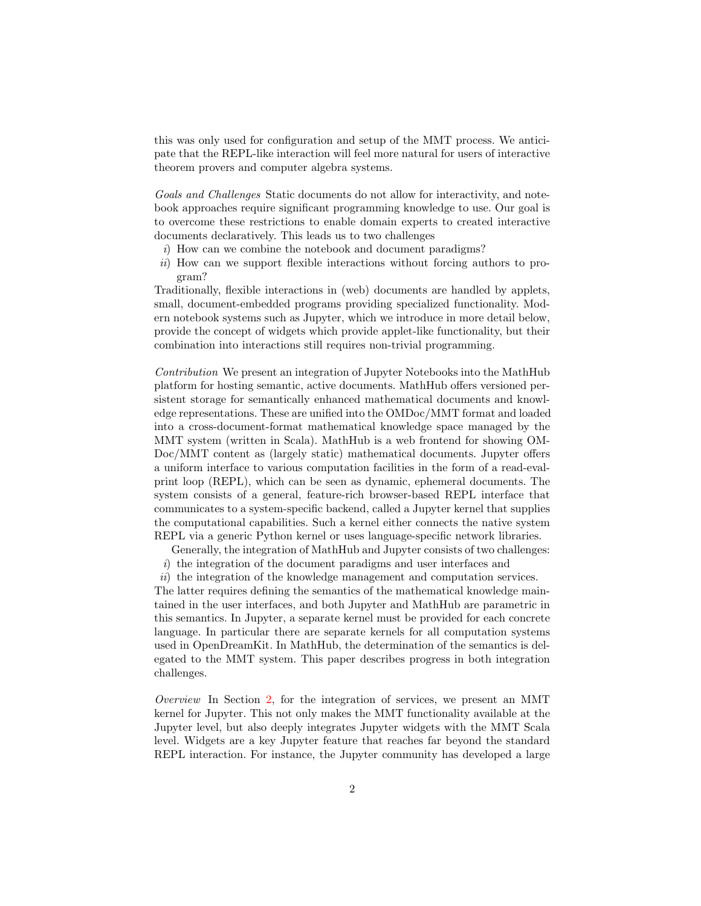this was only used for configuration and setup of the MMT process. We anticipate that the REPL-like interaction will feel more natural for users of interactive theorem provers and computer algebra systems.

Goals and Challenges Static documents do not allow for interactivity, and notebook approaches require significant programming knowledge to use. Our goal is to overcome these restrictions to enable domain experts to created interactive documents declaratively. This leads us to two challenges

- i) How can we combine the notebook and document paradigms?
- $ii)$  How can we support flexible interactions without forcing authors to program?

Traditionally, flexible interactions in (web) documents are handled by applets, small, document-embedded programs providing specialized functionality. Modern notebook systems such as Jupyter, which we introduce in more detail below, provide the concept of widgets which provide applet-like functionality, but their combination into interactions still requires non-trivial programming.

Contribution We present an integration of Jupyter Notebooks into the MathHub platform for hosting semantic, active documents. MathHub offers versioned persistent storage for semantically enhanced mathematical documents and knowledge representations. These are unified into the OMDoc/MMT format and loaded into a cross-document-format mathematical knowledge space managed by the MMT system (written in Scala). MathHub is a web frontend for showing OM-Doc/MMT content as (largely static) mathematical documents. Jupyter offers a uniform interface to various computation facilities in the form of a read-evalprint loop (REPL), which can be seen as dynamic, ephemeral documents. The system consists of a general, feature-rich browser-based REPL interface that communicates to a system-specific backend, called a Jupyter kernel that supplies the computational capabilities. Such a kernel either connects the native system REPL via a generic Python kernel or uses language-specific network libraries.

Generally, the integration of MathHub and Jupyter consists of two challenges:

i) the integration of the document paradigms and user interfaces and ii) the integration of the knowledge management and computation services.

The latter requires defining the semantics of the mathematical knowledge maintained in the user interfaces, and both Jupyter and MathHub are parametric in this semantics. In Jupyter, a separate kernel must be provided for each concrete language. In particular there are separate kernels for all computation systems used in OpenDreamKit. In MathHub, the determination of the semantics is delegated to the MMT system. This paper describes progress in both integration challenges.

Overview In Section [2,](#page-2-0) for the integration of services, we present an MMT kernel for Jupyter. This not only makes the MMT functionality available at the Jupyter level, but also deeply integrates Jupyter widgets with the MMT Scala level. Widgets are a key Jupyter feature that reaches far beyond the standard REPL interaction. For instance, the Jupyter community has developed a large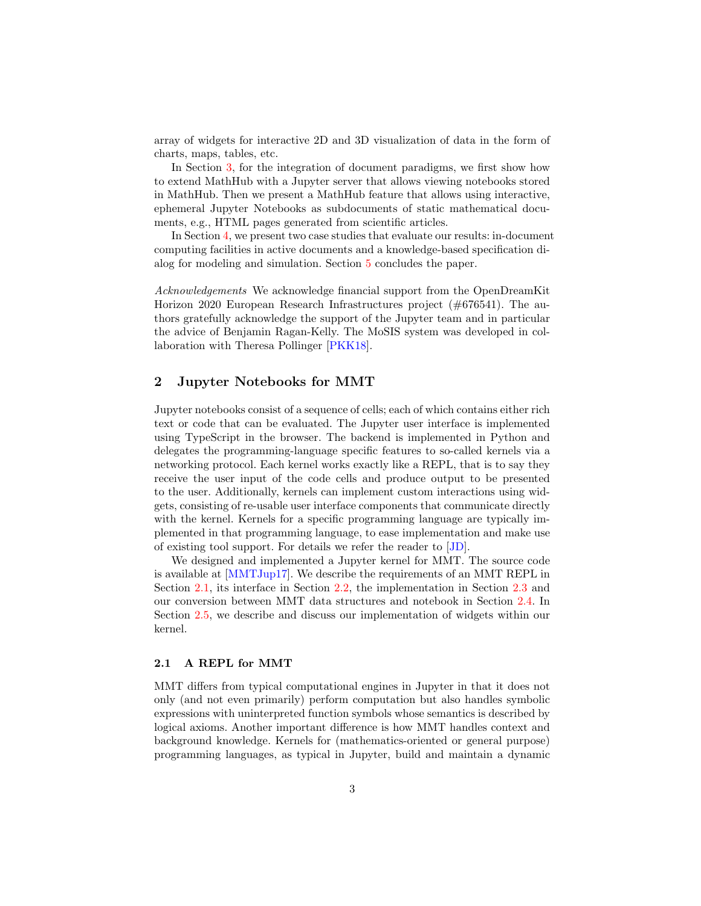array of widgets for interactive 2D and 3D visualization of data in the form of charts, maps, tables, etc.

In Section [3,](#page-9-0) for the integration of document paradigms, we first show how to extend MathHub with a Jupyter server that allows viewing notebooks stored in MathHub. Then we present a MathHub feature that allows using interactive, ephemeral Jupyter Notebooks as subdocuments of static mathematical documents, e.g., HTML pages generated from scientific articles.

In Section [4,](#page-11-0) we present two case studies that evaluate our results: in-document computing facilities in active documents and a knowledge-based specification dialog for modeling and simulation. Section [5](#page-13-0) concludes the paper.

Acknowledgements We acknowledge financial support from the OpenDreamKit Horizon 2020 European Research Infrastructures project  $(\text{\#676541}).$  The authors gratefully acknowledge the support of the Jupyter team and in particular the advice of Benjamin Ragan-Kelly. The MoSIS system was developed in collaboration with Theresa Pollinger [\[PKK18\]](#page-15-0).

# <span id="page-2-0"></span>2 Jupyter Notebooks for MMT

Jupyter notebooks consist of a sequence of cells; each of which contains either rich text or code that can be evaluated. The Jupyter user interface is implemented using TypeScript in the browser. The backend is implemented in Python and delegates the programming-language specific features to so-called kernels via a networking protocol. Each kernel works exactly like a REPL, that is to say they receive the user input of the code cells and produce output to be presented to the user. Additionally, kernels can implement custom interactions using widgets, consisting of re-usable user interface components that communicate directly with the kernel. Kernels for a specific programming language are typically implemented in that programming language, to ease implementation and make use of existing tool support. For details we refer the reader to [\[JD\]](#page-15-1).

We designed and implemented a Jupyter kernel for MMT. The source code is available at [\[MMTJup17\]](#page-15-2). We describe the requirements of an MMT REPL in Section [2.1,](#page-2-1) its interface in Section [2.2,](#page-3-0) the implementation in Section [2.3](#page-5-0) and our conversion between MMT data structures and notebook in Section [2.4.](#page-6-0) In Section [2.5,](#page-7-0) we describe and discuss our implementation of widgets within our kernel.

#### <span id="page-2-1"></span>2.1 A REPL for MMT

MMT differs from typical computational engines in Jupyter in that it does not only (and not even primarily) perform computation but also handles symbolic expressions with uninterpreted function symbols whose semantics is described by logical axioms. Another important difference is how MMT handles context and background knowledge. Kernels for (mathematics-oriented or general purpose) programming languages, as typical in Jupyter, build and maintain a dynamic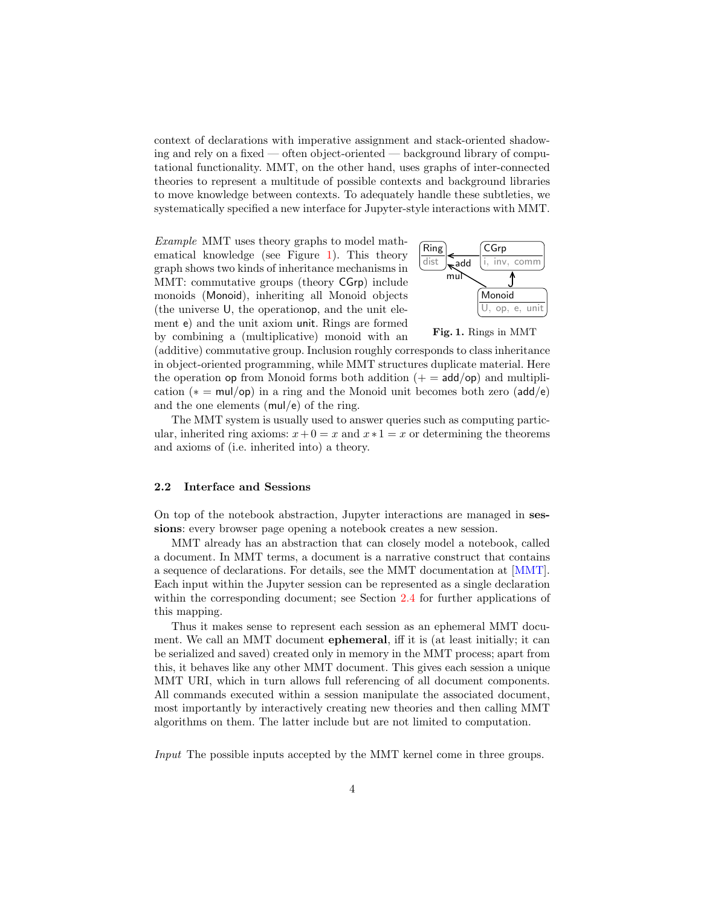context of declarations with imperative assignment and stack-oriented shadowing and rely on a fixed — often object-oriented — background library of computational functionality. MMT, on the other hand, uses graphs of inter-connected theories to represent a multitude of possible contexts and background libraries to move knowledge between contexts. To adequately handle these subtleties, we systematically specified a new interface for Jupyter-style interactions with MMT.

Example MMT uses theory graphs to model mathematical knowledge (see Figure [1\)](#page-3-1). This theory graph shows two kinds of inheritance mechanisms in MMT: commutative groups (theory CGrp) include monoids (Monoid), inheriting all Monoid objects (the universe U, the operationop, and the unit element e) and the unit axiom unit. Rings are formed by combining a (multiplicative) monoid with an



<span id="page-3-1"></span>Fig. 1. Rings in MMT

(additive) commutative group. Inclusion roughly corresponds to class inheritance in object-oriented programming, while MMT structures duplicate material. Here the operation op from Monoid forms both addition  $(+) = \mathsf{add}/\mathsf{op})$  and multiplication ( $* = \frac{mul}{op}$ ) in a ring and the Monoid unit becomes both zero (add/e) and the one elements (mul/e) of the ring.

The MMT system is usually used to answer queries such as computing particular, inherited ring axioms:  $x+0=x$  and  $x*1=x$  or determining the theorems and axioms of (i.e. inherited into) a theory.

#### <span id="page-3-0"></span>2.2 Interface and Sessions

On top of the notebook abstraction, Jupyter interactions are managed in sessions: every browser page opening a notebook creates a new session.

MMT already has an abstraction that can closely model a notebook, called a document. In MMT terms, a document is a narrative construct that contains a sequence of declarations. For details, see the MMT documentation at [\[MMT\]](#page-15-3). Each input within the Jupyter session can be represented as a single declaration within the corresponding document; see Section [2.4](#page-6-0) for further applications of this mapping.

Thus it makes sense to represent each session as an ephemeral MMT document. We call an MMT document ephemeral, iff it is (at least initially; it can be serialized and saved) created only in memory in the MMT process; apart from this, it behaves like any other MMT document. This gives each session a unique MMT URI, which in turn allows full referencing of all document components. All commands executed within a session manipulate the associated document, most importantly by interactively creating new theories and then calling MMT algorithms on them. The latter include but are not limited to computation.

Input The possible inputs accepted by the MMT kernel come in three groups.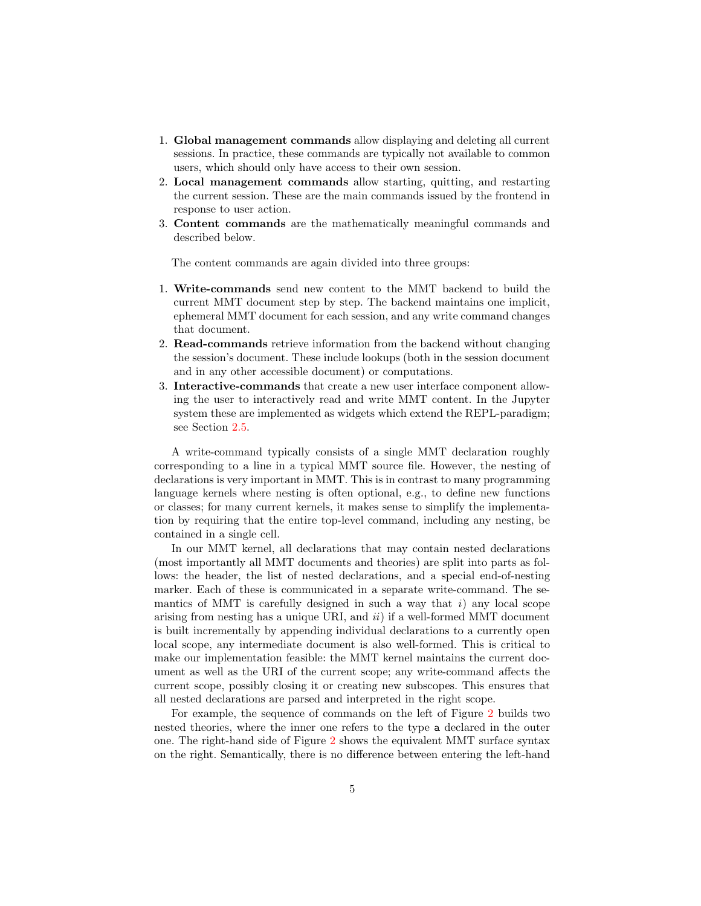- 1. Global management commands allow displaying and deleting all current sessions. In practice, these commands are typically not available to common users, which should only have access to their own session.
- 2. Local management commands allow starting, quitting, and restarting the current session. These are the main commands issued by the frontend in response to user action.
- 3. Content commands are the mathematically meaningful commands and described below.

The content commands are again divided into three groups:

- 1. Write-commands send new content to the MMT backend to build the current MMT document step by step. The backend maintains one implicit, ephemeral MMT document for each session, and any write command changes that document.
- 2. Read-commands retrieve information from the backend without changing the session's document. These include lookups (both in the session document and in any other accessible document) or computations.
- 3. Interactive-commands that create a new user interface component allowing the user to interactively read and write MMT content. In the Jupyter system these are implemented as widgets which extend the REPL-paradigm; see Section [2.5.](#page-7-0)

A write-command typically consists of a single MMT declaration roughly corresponding to a line in a typical MMT source file. However, the nesting of declarations is very important in MMT. This is in contrast to many programming language kernels where nesting is often optional, e.g., to define new functions or classes; for many current kernels, it makes sense to simplify the implementation by requiring that the entire top-level command, including any nesting, be contained in a single cell.

In our MMT kernel, all declarations that may contain nested declarations (most importantly all MMT documents and theories) are split into parts as follows: the header, the list of nested declarations, and a special end-of-nesting marker. Each of these is communicated in a separate write-command. The semantics of MMT is carefully designed in such a way that  $i)$  any local scope arising from nesting has a unique URI, and  $ii)$  if a well-formed MMT document is built incrementally by appending individual declarations to a currently open local scope, any intermediate document is also well-formed. This is critical to make our implementation feasible: the MMT kernel maintains the current document as well as the URI of the current scope; any write-command affects the current scope, possibly closing it or creating new subscopes. This ensures that all nested declarations are parsed and interpreted in the right scope.

For example, the sequence of commands on the left of Figure [2](#page-5-1) builds two nested theories, where the inner one refers to the type a declared in the outer one. The right-hand side of Figure [2](#page-5-1) shows the equivalent MMT surface syntax on the right. Semantically, there is no difference between entering the left-hand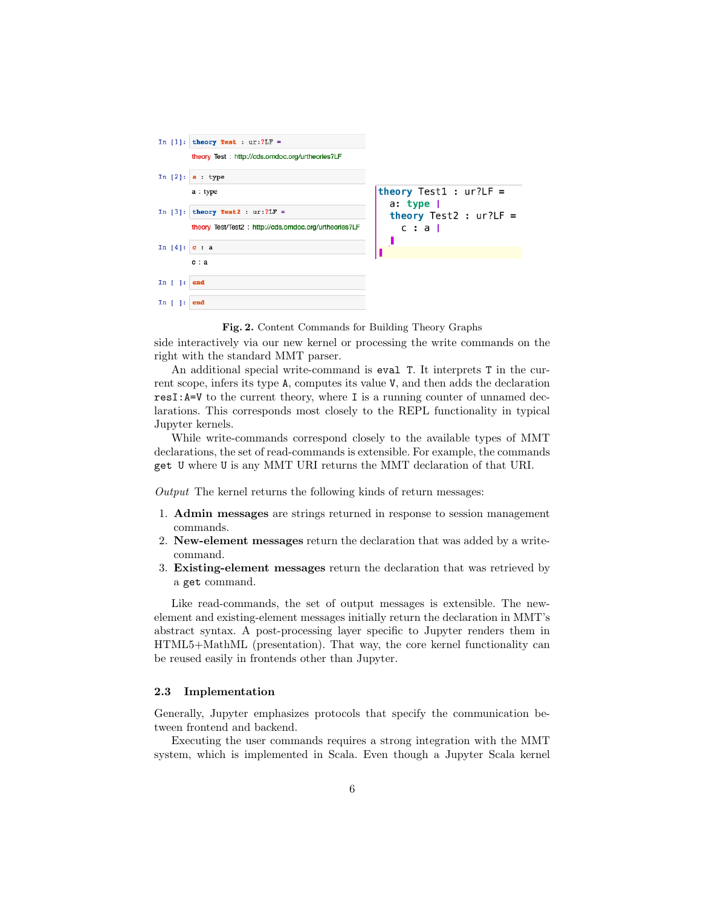

<span id="page-5-1"></span>Fig. 2. Content Commands for Building Theory Graphs

side interactively via our new kernel or processing the write commands on the right with the standard MMT parser.

An additional special write-command is eval T. It interprets T in the current scope, infers its type A, computes its value V, and then adds the declaration resI:A=V to the current theory, where I is a running counter of unnamed declarations. This corresponds most closely to the REPL functionality in typical Jupyter kernels.

While write-commands correspond closely to the available types of MMT declarations, the set of read-commands is extensible. For example, the commands get U where U is any MMT URI returns the MMT declaration of that URI.

Output The kernel returns the following kinds of return messages:

- 1. Admin messages are strings returned in response to session management commands.
- 2. New-element messages return the declaration that was added by a writecommand.
- 3. Existing-element messages return the declaration that was retrieved by a get command.

Like read-commands, the set of output messages is extensible. The newelement and existing-element messages initially return the declaration in MMT's abstract syntax. A post-processing layer specific to Jupyter renders them in HTML5+MathML (presentation). That way, the core kernel functionality can be reused easily in frontends other than Jupyter.

#### <span id="page-5-0"></span>2.3 Implementation

Generally, Jupyter emphasizes protocols that specify the communication between frontend and backend.

Executing the user commands requires a strong integration with the MMT system, which is implemented in Scala. Even though a Jupyter Scala kernel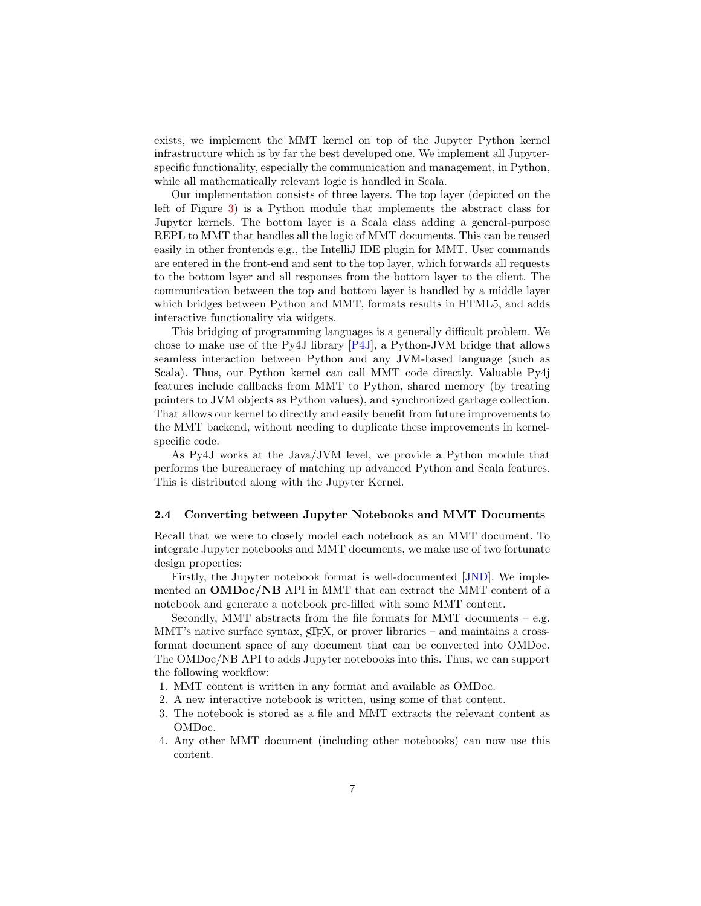exists, we implement the MMT kernel on top of the Jupyter Python kernel infrastructure which is by far the best developed one. We implement all Jupyterspecific functionality, especially the communication and management, in Python, while all mathematically relevant logic is handled in Scala.

Our implementation consists of three layers. The top layer (depicted on the left of Figure [3\)](#page-7-1) is a Python module that implements the abstract class for Jupyter kernels. The bottom layer is a Scala class adding a general-purpose REPL to MMT that handles all the logic of MMT documents. This can be reused easily in other frontends e.g., the IntelliJ IDE plugin for MMT. User commands are entered in the front-end and sent to the top layer, which forwards all requests to the bottom layer and all responses from the bottom layer to the client. The communication between the top and bottom layer is handled by a middle layer which bridges between Python and MMT, formats results in HTML5, and adds interactive functionality via widgets.

This bridging of programming languages is a generally difficult problem. We chose to make use of the Py4J library [\[P4J\]](#page-15-4), a Python-JVM bridge that allows seamless interaction between Python and any JVM-based language (such as Scala). Thus, our Python kernel can call MMT code directly. Valuable Py4j features include callbacks from MMT to Python, shared memory (by treating pointers to JVM objects as Python values), and synchronized garbage collection. That allows our kernel to directly and easily benefit from future improvements to the MMT backend, without needing to duplicate these improvements in kernelspecific code.

As Py4J works at the Java/JVM level, we provide a Python module that performs the bureaucracy of matching up advanced Python and Scala features. This is distributed along with the Jupyter Kernel.

#### <span id="page-6-0"></span>2.4 Converting between Jupyter Notebooks and MMT Documents

Recall that we were to closely model each notebook as an MMT document. To integrate Jupyter notebooks and MMT documents, we make use of two fortunate design properties:

Firstly, the Jupyter notebook format is well-documented [\[JND\]](#page-15-5). We implemented an OMDoc/NB API in MMT that can extract the MMT content of a notebook and generate a notebook pre-filled with some MMT content.

Secondly, MMT abstracts from the file formats for MMT documents  $-$  e.g. MMT's native surface syntax,  $\langle T_F X \rangle$ , or prover libraries – and maintains a crossformat document space of any document that can be converted into OMDoc. The OMDoc/NB API to adds Jupyter notebooks into this. Thus, we can support the following workflow:

- 1. MMT content is written in any format and available as OMDoc.
- 2. A new interactive notebook is written, using some of that content.
- 3. The notebook is stored as a file and MMT extracts the relevant content as OMDoc.
- 4. Any other MMT document (including other notebooks) can now use this content.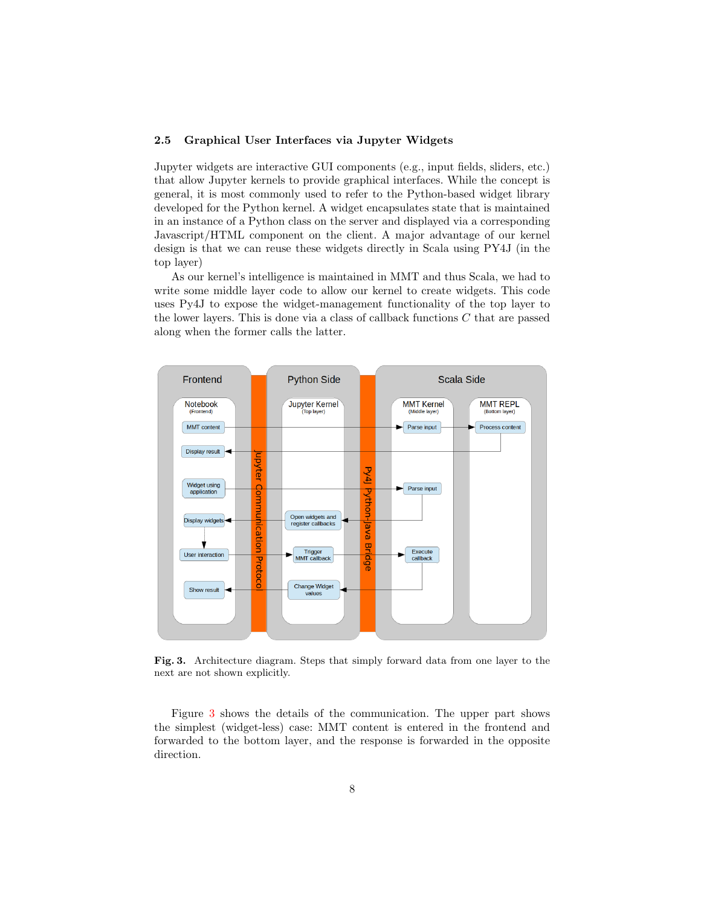#### <span id="page-7-0"></span>2.5 Graphical User Interfaces via Jupyter Widgets

Jupyter widgets are interactive GUI components (e.g., input fields, sliders, etc.) that allow Jupyter kernels to provide graphical interfaces. While the concept is general, it is most commonly used to refer to the Python-based widget library developed for the Python kernel. A widget encapsulates state that is maintained in an instance of a Python class on the server and displayed via a corresponding Javascript/HTML component on the client. A major advantage of our kernel design is that we can reuse these widgets directly in Scala using PY4J (in the top layer)

As our kernel's intelligence is maintained in MMT and thus Scala, we had to write some middle layer code to allow our kernel to create widgets. This code uses Py4J to expose the widget-management functionality of the top layer to the lower layers. This is done via a class of callback functions  $C$  that are passed along when the former calls the latter.



<span id="page-7-1"></span>Fig. 3. Architecture diagram. Steps that simply forward data from one layer to the next are not shown explicitly.

Figure [3](#page-7-1) shows the details of the communication. The upper part shows the simplest (widget-less) case: MMT content is entered in the frontend and forwarded to the bottom layer, and the response is forwarded in the opposite direction.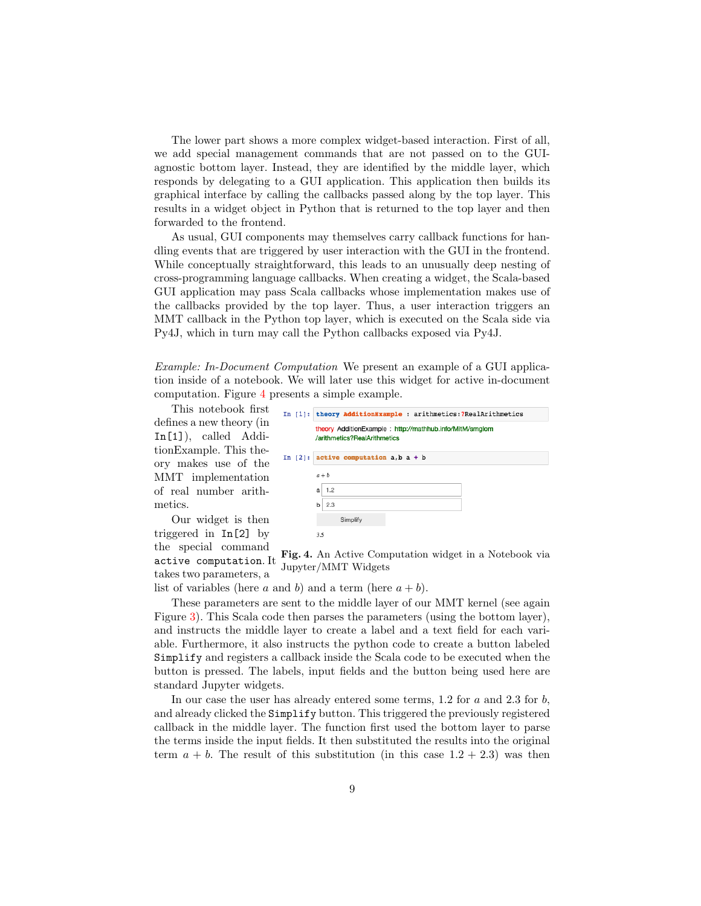The lower part shows a more complex widget-based interaction. First of all, we add special management commands that are not passed on to the GUIagnostic bottom layer. Instead, they are identified by the middle layer, which responds by delegating to a GUI application. This application then builds its graphical interface by calling the callbacks passed along by the top layer. This results in a widget object in Python that is returned to the top layer and then forwarded to the frontend.

As usual, GUI components may themselves carry callback functions for handling events that are triggered by user interaction with the GUI in the frontend. While conceptually straightforward, this leads to an unusually deep nesting of cross-programming language callbacks. When creating a widget, the Scala-based GUI application may pass Scala callbacks whose implementation makes use of the callbacks provided by the top layer. Thus, a user interaction triggers an MMT callback in the Python top layer, which is executed on the Scala side via Py4J, which in turn may call the Python callbacks exposed via Py4J.

Example: In-Document Computation We present an example of a GUI application inside of a notebook. We will later use this widget for active in-document computation. Figure [4](#page-8-0) presents a simple example.

This notebook first defines a new theory (in In[1]), called AdditionExample. This theory makes use of the MMT implementation of real number arithmetics.

Our widget is then triggered in In[2] by the special command active computation. It takes two parameters, a



<span id="page-8-0"></span>Fig. 4. An Active Computation widget in a Notebook via Jupyter/MMT Widgets

list of variables (here a and b) and a term (here  $a + b$ ).

These parameters are sent to the middle layer of our MMT kernel (see again Figure [3\)](#page-7-1). This Scala code then parses the parameters (using the bottom layer), and instructs the middle layer to create a label and a text field for each variable. Furthermore, it also instructs the python code to create a button labeled Simplify and registers a callback inside the Scala code to be executed when the button is pressed. The labels, input fields and the button being used here are standard Jupyter widgets.

In our case the user has already entered some terms, 1.2 for  $a$  and 2.3 for  $b$ , and already clicked the Simplify button. This triggered the previously registered callback in the middle layer. The function first used the bottom layer to parse the terms inside the input fields. It then substituted the results into the original term  $a + b$ . The result of this substitution (in this case  $1.2 + 2.3$ ) was then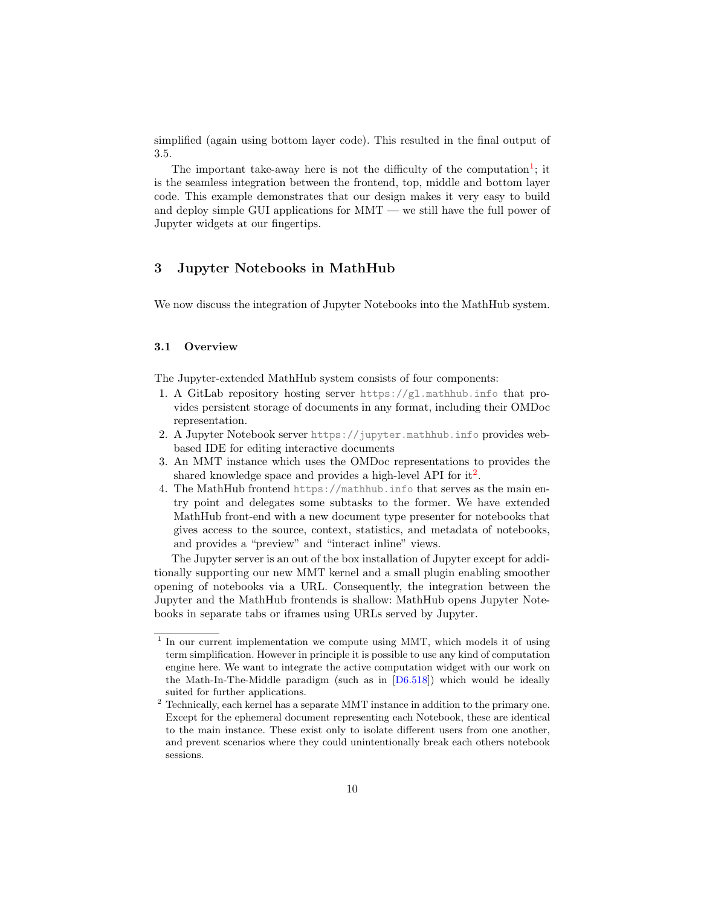simplified (again using bottom layer code). This resulted in the final output of 3.5.

The important take-away here is not the difficulty of the computation<sup>[1](#page-9-1)</sup>; it is the seamless integration between the frontend, top, middle and bottom layer code. This example demonstrates that our design makes it very easy to build and deploy simple GUI applications for  $MMT$  — we still have the full power of Jupyter widgets at our fingertips.

# <span id="page-9-0"></span>3 Jupyter Notebooks in MathHub

We now discuss the integration of Jupyter Notebooks into the MathHub system.

#### 3.1 Overview

The Jupyter-extended MathHub system consists of four components:

- 1. A GitLab repository hosting server <https://gl.mathhub.info> that provides persistent storage of documents in any format, including their OMDoc representation.
- 2. A Jupyter Notebook server <https://jupyter.mathhub.info> provides webbased IDE for editing interactive documents
- 3. An MMT instance which uses the OMDoc representations to provides the shared knowledge space and provides a high-level API for  $it^2$  $it^2$ .
- 4. The MathHub frontend <https://mathhub.info> that serves as the main entry point and delegates some subtasks to the former. We have extended MathHub front-end with a new document type presenter for notebooks that gives access to the source, context, statistics, and metadata of notebooks, and provides a "preview" and "interact inline" views.

The Jupyter server is an out of the box installation of Jupyter except for additionally supporting our new MMT kernel and a small plugin enabling smoother opening of notebooks via a URL. Consequently, the integration between the Jupyter and the MathHub frontends is shallow: MathHub opens Jupyter Notebooks in separate tabs or iframes using URLs served by Jupyter.

<span id="page-9-1"></span><sup>&</sup>lt;sup>1</sup> In our current implementation we compute using MMT, which models it of using term simplification. However in principle it is possible to use any kind of computation engine here. We want to integrate the active computation widget with our work on the Math-In-The-Middle paradigm (such as in [\[D6.518\]](#page-15-6)) which would be ideally suited for further applications.

<span id="page-9-2"></span> $^{\rm 2}$  Technically, each kernel has a separate MMT instance in addition to the primary one. Except for the ephemeral document representing each Notebook, these are identical to the main instance. These exist only to isolate different users from one another, and prevent scenarios where they could unintentionally break each others notebook sessions.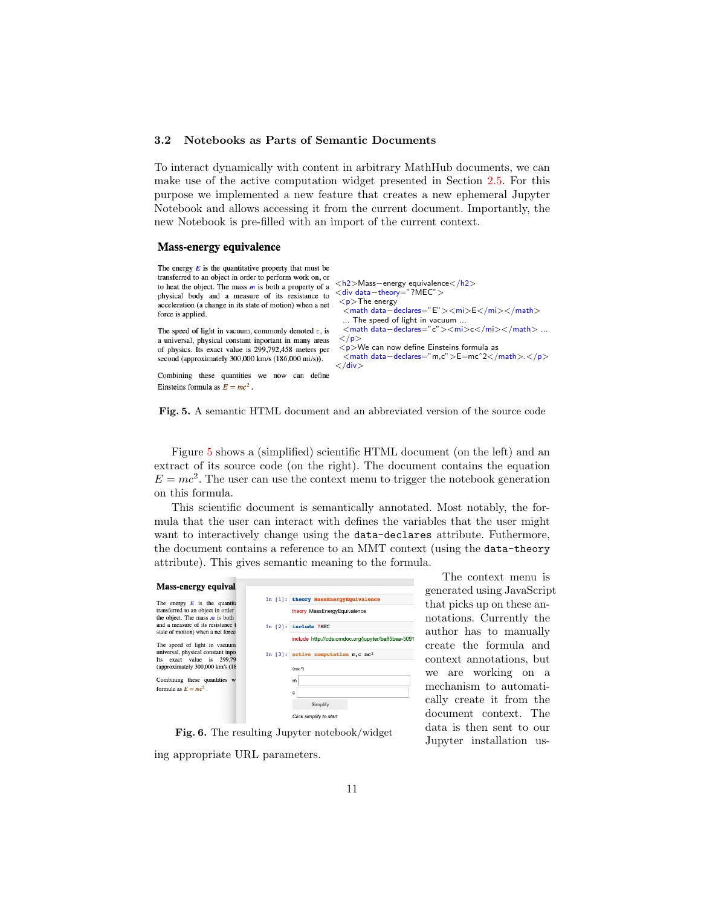### 3.2 Notebooks as Parts of Semantic Documents

To interact dynamically with content in arbitrary MathHub documents, we can make use of the active computation widget presented in Section [2.5.](#page-7-0) For this purpose we implemented a new feature that creates a new ephemeral Jupyter Notebook and allows accessing it from the current document. Importantly, the new Notebook is pre-filled with an import of the current context.

#### **Mass-energy equivalence**

| The energy $\vec{E}$ is the quantitative property that must be<br>transferred to an object in order to perform work on, or<br>to heat the object. The mass $m$ is both a property of a<br>physical body and a measure of its resistance to<br>acceleration (a change in its state of motion) when a net<br>force is applied. | $\langle h2\rangle$ Mass-energy equivalence $\langle h2\rangle$<br>$\langle$ div data - theory="?MEC" ><br>$\langle p \rangle$ The energy<br>$\langle$ math data-declares="E"> $\langle$ mi>E $\langle$ /mi> $\langle$ /math><br>The speed of light in vacuum                                                                         |
|------------------------------------------------------------------------------------------------------------------------------------------------------------------------------------------------------------------------------------------------------------------------------------------------------------------------------|---------------------------------------------------------------------------------------------------------------------------------------------------------------------------------------------------------------------------------------------------------------------------------------------------------------------------------------|
| The speed of light in vacuum, commonly denoted $c$ , is                                                                                                                                                                                                                                                                      | $\mathbf{m}$ at $\mathbf{d}$ data - declares = "c" > $\mathbf{m}$ > c $\mathbf{m}$ $\mathbf{m}$ > $\mathbf{m}$ $\mathbf{m}$ $\mathbf{m}$ $\mathbf{m}$ $\mathbf{m}$ $\mathbf{m}$ $\mathbf{m}$ $\mathbf{m}$ $\mathbf{m}$ $\mathbf{m}$ $\mathbf{m}$ $\mathbf{m}$ $\mathbf{m}$ $\mathbf{m}$ $\mathbf{m}$ $\mathbf{m}$<br>$\langle$ /p $>$ |
| a universal, physical constant inportant in many areas<br>of physics. Its exact value is 299,792,458 meters per                                                                                                                                                                                                              | $\langle p \rangle$ We can now define Einsteins formula as                                                                                                                                                                                                                                                                            |
| second (approximately $300,000$ km/s $(186,000$ mi/s)).                                                                                                                                                                                                                                                                      | $\zeta$ math data-declares="m,c">E=mc^2 $\zeta$ /math>. $\zeta$ /p><br>$\langle$ /div $\rangle$                                                                                                                                                                                                                                       |
| Combining these quantities we now can define                                                                                                                                                                                                                                                                                 |                                                                                                                                                                                                                                                                                                                                       |
| Einsteins formula as $E = mc^2$ .                                                                                                                                                                                                                                                                                            |                                                                                                                                                                                                                                                                                                                                       |

<span id="page-10-0"></span>

Figure [5](#page-10-0) shows a (simplified) scientific HTML document (on the left) and an extract of its source code (on the right). The document contains the equation  $E = mc^2$ . The user can use the context menu to trigger the notebook generation on this formula.

This scientific document is semantically annotated. Most notably, the formula that the user can interact with defines the variables that the user might want to interactively change using the data-declares attribute. Futhermore, the document contains a reference to an MMT context (using the data-theory attribute). This gives semantic meaning to the formula.

| <b>Mass-energy equival</b>                                                                                                         |                                                    |
|------------------------------------------------------------------------------------------------------------------------------------|----------------------------------------------------|
| The energy $E$ is the quantiti                                                                                                     | In [1]: theory MassEnerqyEquivalence               |
| transferred to an object in order<br>the object. The mass $m$ is both                                                              | theory MassEnergyEquivalence                       |
| and a measure of its resistance t<br>state of motion) when a net force                                                             | In [2]: include ?MEC                               |
| The speed of light in vacuum<br>universal, physical constant inpo<br>Its exact value is 299.79<br>(approximately 300,000 km/s (18) | include http://cds.omdoc.org/jupyter/baff5bea-5091 |
|                                                                                                                                    | In [3]: active computation m, c mc <sup>2</sup>    |
|                                                                                                                                    | (mc <sup>2</sup> )                                 |
| Combining these quantities w<br>formula as $E = mc^2$ .                                                                            | m                                                  |
|                                                                                                                                    | c                                                  |
|                                                                                                                                    | Simplify                                           |
|                                                                                                                                    | Click simplify to start                            |

<span id="page-10-1"></span>Fig. 6. The resulting Jupyter notebook/widget

ing appropriate URL parameters.

The context menu is generated using JavaScript that picks up on these annotations. Currently the author has to manually create the formula and context annotations, but we are working on a mechanism to automatically create it from the document context. The data is then sent to our Jupyter installation us-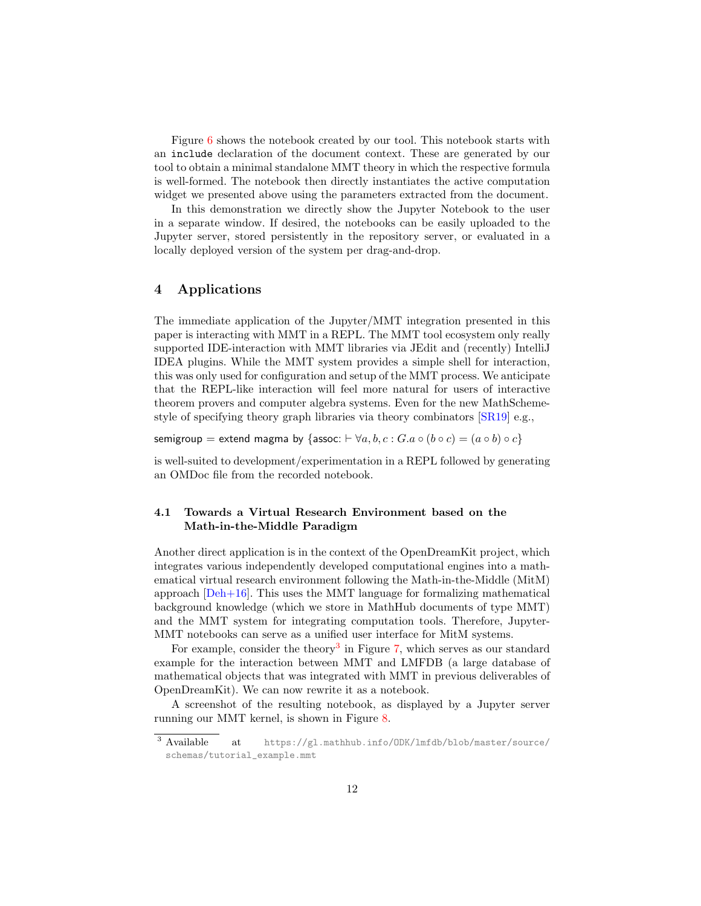Figure [6](#page-10-1) shows the notebook created by our tool. This notebook starts with an include declaration of the document context. These are generated by our tool to obtain a minimal standalone MMT theory in which the respective formula is well-formed. The notebook then directly instantiates the active computation widget we presented above using the parameters extracted from the document.

In this demonstration we directly show the Jupyter Notebook to the user in a separate window. If desired, the notebooks can be easily uploaded to the Jupyter server, stored persistently in the repository server, or evaluated in a locally deployed version of the system per drag-and-drop.

# <span id="page-11-0"></span>4 Applications

The immediate application of the Jupyter/MMT integration presented in this paper is interacting with MMT in a REPL. The MMT tool ecosystem only really supported IDE-interaction with MMT libraries via JEdit and (recently) IntelliJ IDEA plugins. While the MMT system provides a simple shell for interaction, this was only used for configuration and setup of the MMT process. We anticipate that the REPL-like interaction will feel more natural for users of interactive theorem provers and computer algebra systems. Even for the new MathSchemestyle of specifying theory graph libraries via theory combinators [\[SR19\]](#page-15-7) e.g.,

semigroup = extend magma by {assoc:  $\vdash \forall a, b, c : G.a \circ (b \circ c) = (a \circ b) \circ c$ }

is well-suited to development/experimentation in a REPL followed by generating an OMDoc file from the recorded notebook.

### 4.1 Towards a Virtual Research Environment based on the Math-in-the-Middle Paradigm

Another direct application is in the context of the OpenDreamKit project, which integrates various independently developed computational engines into a mathematical virtual research environment following the Math-in-the-Middle (MitM) approach  $[Deh+16]$ . This uses the MMT language for formalizing mathematical background knowledge (which we store in MathHub documents of type MMT) and the MMT system for integrating computation tools. Therefore, Jupyter-MMT notebooks can serve as a unified user interface for MitM systems.

For example, consider the theory<sup>[3](#page-11-1)</sup> in Figure [7,](#page-12-0) which serves as our standard example for the interaction between MMT and LMFDB (a large database of mathematical objects that was integrated with MMT in previous deliverables of OpenDreamKit). We can now rewrite it as a notebook.

A screenshot of the resulting notebook, as displayed by a Jupyter server running our MMT kernel, is shown in Figure [8.](#page-12-1)

<span id="page-11-1"></span><sup>3</sup> Available at [https://gl.mathhub.info/ODK/lmfdb/blob/master/source/](https://gl.mathhub.info/ODK/lmfdb/blob/master/source/schemas/tutorial_example.mmt) [schemas/tutorial\\_example.mmt](https://gl.mathhub.info/ODK/lmfdb/blob/master/source/schemas/tutorial_example.mmt)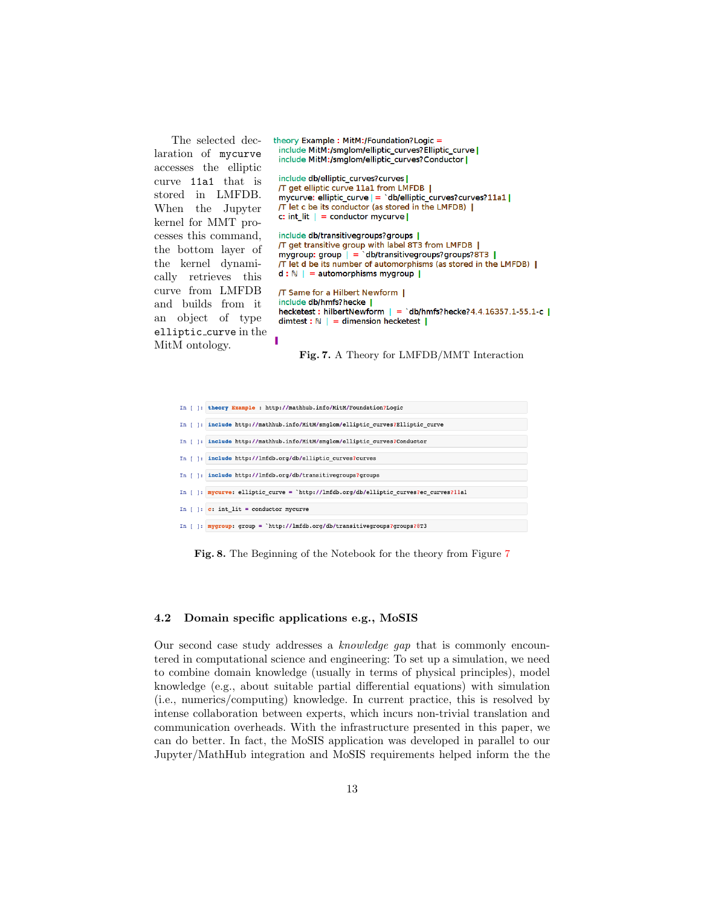The selected declaration of mycurve accesses the elliptic curve 11a1 that is stored in LMFDB. When the Jupyter kernel for MMT processes this command, the bottom layer of the kernel dynamically retrieves this curve from LMFDB and builds from it an object of type elliptic curve in the MitM ontology.

```
theory Example: MitM:/Foundation?Logic =
include MitM:/smglom/elliptic_curves?Elliptic_curve |
include MitM:/smglom/elliptic_curves?Conductor |
include db/elliptic curves?curves |
/T get elliptic curve 11a1 from LMFDB |
mycurve: elliptic curve | = \text{`db/elliptic} curves?curves?11a1 |
/T let c be its conductor (as stored in the LMFDB) |
c: int_lit | = conductor mycurve |
include db/transitivegroups?groups |
/T get transitive group with label 8T3 from LMFDB |
mygroup: group \vert = db/transitivegroups?groups?8T3 |
/T let d be its number of automorphisms (as stored in the LMFDB) |
d: \mathbb{N} = automorphisms mygroup |
/T Same for a Hilbert Newform |
include db/hmfs?hecke |
hecketest: hilbertNewform \vert = \vert db/hmfs?hecke?4.4.16357.1-55.1-c \vertdimtest : \mathbb{N} | = dimension hecketest |
```
<span id="page-12-0"></span>Fig. 7. A Theory for LMFDB/MMT Interaction

|  | In [ ]: theory Example : http://mathhub.info/MitM/Foundation?Logic                    |
|--|---------------------------------------------------------------------------------------|
|  | In [ ]: include http://mathhub.info/MitM/smglom/elliptic curves?Elliptic curve        |
|  | In [ ]: include http://mathhub.info/MitM/smqlom/elliptic curves?Conductor             |
|  | In [ ]: include http://lmfdb.org/db/elliptic curves?curves                            |
|  | In [ ]: include http://lmfdb.org/db/transitivegroups?groups                           |
|  | In [ ]: mycurve: elliptic_curve = `http://lmfdb.org/db/elliptic_curves?ec_curves?llal |
|  | In $\lceil$ $\rceil$ : $\vert$ <b>c</b> : int lit = conductor mycurve                 |
|  | In [ ]: mygroup: group = $\iota$ ttp://lmfdb.org/db/transitivegroups?groups?8T3       |

<span id="page-12-1"></span>Fig. 8. The Beginning of the Notebook for the theory from Figure [7](#page-12-0)

#### 4.2 Domain specific applications e.g., MoSIS

Our second case study addresses a knowledge gap that is commonly encountered in computational science and engineering: To set up a simulation, we need to combine domain knowledge (usually in terms of physical principles), model knowledge (e.g., about suitable partial differential equations) with simulation (i.e., numerics/computing) knowledge. In current practice, this is resolved by intense collaboration between experts, which incurs non-trivial translation and communication overheads. With the infrastructure presented in this paper, we can do better. In fact, the MoSIS application was developed in parallel to our Jupyter/MathHub integration and MoSIS requirements helped inform the the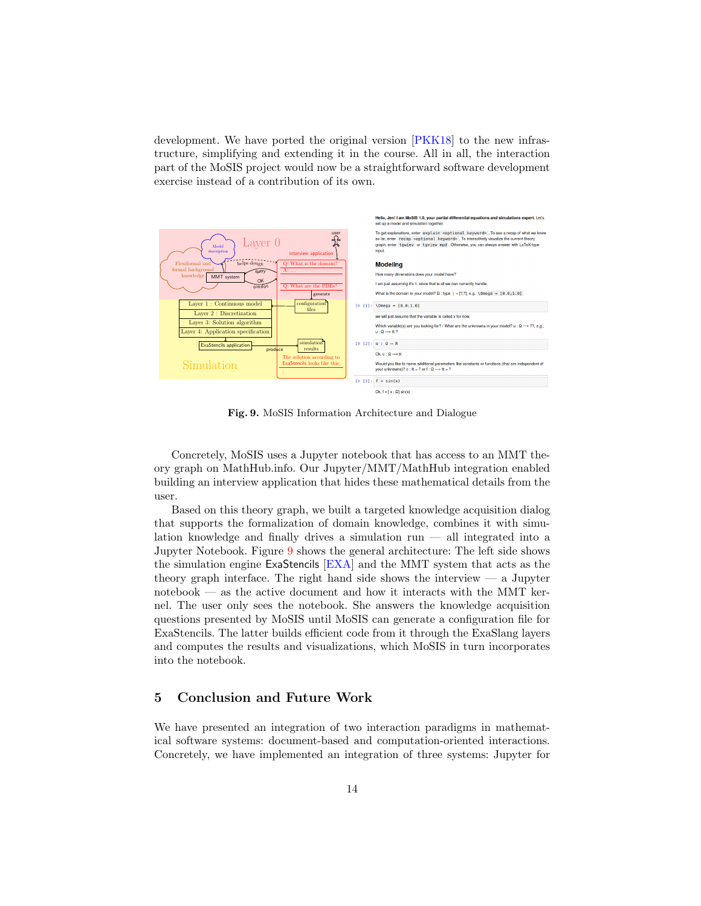development. We have ported the original version [\[PKK18\]](#page-15-0) to the new infrastructure, simplifying and extending it in the course. All in all, the interaction part of the MoSIS project would now be a straightforward software development exercise instead of a contribution of its own.



<span id="page-13-1"></span>Fig. 9. MoSIS Information Architecture and Dialogue

Concretely, MoSIS uses a Jupyter notebook that has access to an MMT theory graph on MathHub.info. Our Jupyter/MMT/MathHub integration enabled building an interview application that hides these mathematical details from the user.

Based on this theory graph, we built a targeted knowledge acquisition dialog that supports the formalization of domain knowledge, combines it with simulation knowledge and finally drives a simulation  $run$  — all integrated into a Jupyter Notebook. Figure [9](#page-13-1) shows the general architecture: The left side shows the simulation engine ExaStencils [\[EXA\]](#page-15-9) and the MMT system that acts as the theory graph interface. The right hand side shows the interview  $-$  a Jupyter notebook — as the active document and how it interacts with the MMT kernel. The user only sees the notebook. She answers the knowledge acquisition questions presented by MoSIS until MoSIS can generate a configuration file for ExaStencils. The latter builds efficient code from it through the ExaSlang layers and computes the results and visualizations, which MoSIS in turn incorporates into the notebook.

# <span id="page-13-0"></span>5 Conclusion and Future Work

We have presented an integration of two interaction paradigms in mathematical software systems: document-based and computation-oriented interactions. Concretely, we have implemented an integration of three systems: Jupyter for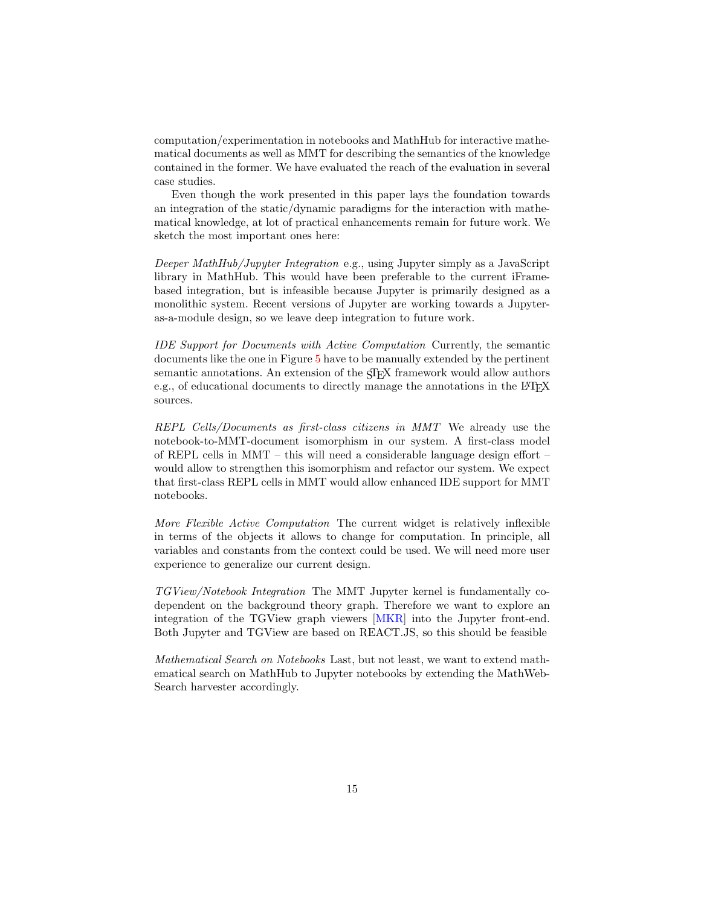computation/experimentation in notebooks and MathHub for interactive mathematical documents as well as MMT for describing the semantics of the knowledge contained in the former. We have evaluated the reach of the evaluation in several case studies.

Even though the work presented in this paper lays the foundation towards an integration of the static/dynamic paradigms for the interaction with mathematical knowledge, at lot of practical enhancements remain for future work. We sketch the most important ones here:

Deeper MathHub/Jupyter Integration e.g., using Jupyter simply as a JavaScript library in MathHub. This would have been preferable to the current iFramebased integration, but is infeasible because Jupyter is primarily designed as a monolithic system. Recent versions of Jupyter are working towards a Jupyteras-a-module design, so we leave deep integration to future work.

IDE Support for Documents with Active Computation Currently, the semantic documents like the one in Figure [5](#page-10-0) have to be manually extended by the pertinent semantic annotations. An extension of the STEX framework would allow authors e.g., of educational documents to directly manage the annotations in the LAT<sub>E</sub>X sources.

REPL Cells/Documents as first-class citizens in MMT We already use the notebook-to-MMT-document isomorphism in our system. A first-class model of REPL cells in MMT – this will need a considerable language design effort – would allow to strengthen this isomorphism and refactor our system. We expect that first-class REPL cells in MMT would allow enhanced IDE support for MMT notebooks.

More Flexible Active Computation The current widget is relatively inflexible in terms of the objects it allows to change for computation. In principle, all variables and constants from the context could be used. We will need more user experience to generalize our current design.

TGView/Notebook Integration The MMT Jupyter kernel is fundamentally codependent on the background theory graph. Therefore we want to explore an integration of the TGView graph viewers [\[MKR\]](#page-15-10) into the Jupyter front-end. Both Jupyter and TGView are based on REACT.JS, so this should be feasible

Mathematical Search on Notebooks Last, but not least, we want to extend mathematical search on MathHub to Jupyter notebooks by extending the MathWeb-Search harvester accordingly.